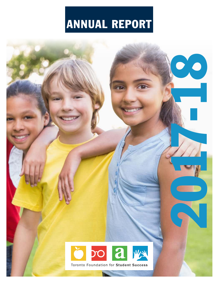# ANNUAL REPORT

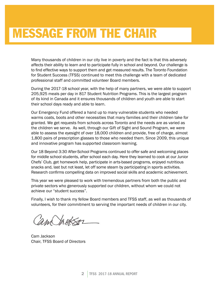Many thousands of children in our city live in poverty and the fact is that this adversely affects their ability to learn and to participate fully in school and beyond. Our challenge is to find effective ways to support them and get measured results. The Toronto Foundation for Student Success (TFSS) continued to meet this challenge with a team of dedicated professional staff and committed volunteer Board members.

During the 2017-18 school year, with the help of many partners, we were able to support 205,925 meals per day in 817 Student Nutrition Programs. This is the largest program of its kind in Canada and it ensures thousands of children and youth are able to start their school days ready and able to learn.

Our Emergency Fund offered a hand up to many vulnerable students who needed warms coats, boots and other necessities that many families and their children take for granted. We get requests from schools across Toronto and the needs are as varied as the children we serve. As well, through our Gift of Sight and Sound Program, we were able to assess the eyesight of over 18,000 children and provide, free of charge, almost 1,800 pairs of prescription glasses to those who needed them. Since 2009, this unique and innovative program has supported classroom learning.

Our 18 Beyond 3:30 After-School Programs continued to offer safe and welcoming places for middle school students, after school each day. Here they learned to cook at our Junior Chefs' Club, get homework help, participate in arts-based programs, enjoyed nutritious snacks and, last but not least, let off some steam by participating in sports activities. Research confirms compelling data on improved social skills and academic achievement.

This year we were pleased to work with tremendous partners from both the public and private sectors who generously supported our children, without whom we could not achieve our "student success".

Finally, I wish to thank my fellow Board members and TFSS staff, as well as thousands of volunteers, for their commitment to serving the important needs of children in our city.

and Ingtson

Cam Jackson Chair, TFSS Board of Directors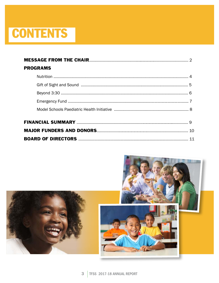# **CONTENTS**

| <b>PROGRAMS</b> |  |
|-----------------|--|
|                 |  |
|                 |  |
|                 |  |
|                 |  |
|                 |  |
|                 |  |
|                 |  |
|                 |  |
|                 |  |
|                 |  |

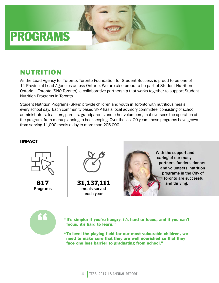

## NUTRITION

As the Lead Agency for Toronto, Toronto Foundation for Student Success is proud to be one of 14 Provincial Lead Agencies across Ontario. We are also proud to be part of Student Nutrition Ontario – Toronto (SNO-Toronto), a collaborative partnership that works together to support Student Nutrition Programs in Toronto.

Student Nutrition Programs (SNPs) provide children and youth in Toronto with nutritious meals every school day. Each community based SNP has a local advisory committee, consisting of school administrators, teachers, parents, grandparents and other volunteers, that oversees the operation of the program, from menu planning to bookkeeping. Over the last 20 years these programs have grown from serving 11,000 meals a day to more than 205,000.

### IMPACT



817 Programs



31,137,111 meals served each year



With the support and caring of our many partners, funders, donors and volunteers, nutrition programs in the City of Toronto are successful and thriving.



"It's simple: if you're hungry, it's hard to focus, and if you can't focus, it's hard to learn."

" To level the playing field for our most vulnerable children, we need to make sure that they are well nourished so that they face one less barrier to graduating from school."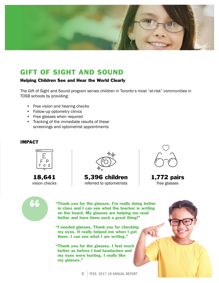

# GIFT OF SIGHT AND SOUND

### Helping Children See and Hear the World Clearly

The Gift of Sight and Sound program serves children in Toronto's most "at-risk" communities in TDSB schools by providing:

- Free vision and hearing checks
- Follow-up optometry clinics
- Free glasses when required
- Tracking of the immediate results of these screenings and optometrist appointments

### IMPACT



18,641 vision checks



5,396 children referred to optometrists



1,772 pairs free glasses



" Thank you for the glasses. I'm really doing better in class and I can see what the teacher is writing on the board. My glasses are helping me read better and have been such a great thing!"

"I needed glasses. Thank you for checking my eyes. It really helped me when I got them. I can see what I am writing."

" Thank you for the glasses. I feel much better as before I had headaches and my eyes were hurting. I really like my glasses."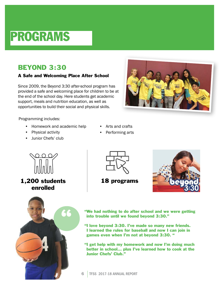# PROGRAMS

# BEYOND 3:30

### A Safe and Welcoming Place After School

Since 2009, the Beyond 3:30 after-school program has provided a safe and welcoming place for children to be at the end of the school day. Here students get academic support, meals and nutrition education, as well as opportunities to build their social and physical skills.

Programming includes:

- Homework and academic help
- Physical activity
- Junior Chefs' club
- Arts and crafts
- Performing arts



1,200 students enrolled





18 programs



"We had nothing to do after school and we were getting into trouble until we found beyond 3:30."

"I love beyond 3:30. I've made so many new friends. I learned the rules for baseball and now I can join in games even when I'm not at beyond 3:30. "

"I get help with my homework and now I'm doing much better in school... plus I've learned how to cook at the Junior Chefs' Club."

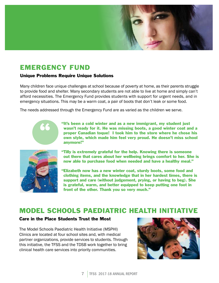

# EMERGENCY FUND

### Unique Problems Require Unique Solutions

Many children face unique challenges at school because of poverty at home, as their parents struggle to provide food and shelter. Many secondary students are not able to live at home and simply can't afford necessities. The Emergency Fund provides students with support for urgent needs, and in emergency situations. This may be a warm coat, a pair of boots that don't leak or some food.

The needs addressed through the Emergency Fund are as varied as the children we serve.



"It's been a cold winter and as a new immigrant, my student just wasn't ready for it. He was missing boots, a good winter coat and a proper Canadian toque! I took him to the store where he chose his own style, which made him feel very proud. He doesn't miss school anymore!"



- " Tilly is extremely grateful for the help. Knowing there is someone out there that cares about her wellbeing brings comfort to her. She is now able to purchase food when needed and have a healthy meal."
- " Elizabeth now has a new winter coat, sturdy boots, some food and clothing items, and the knowledge that in her hardest times, there is support and care (without judgement, prying, or having to beg). She is grateful, warm, and better equipped to keep putting one foot in front of the other. Thank you so very much."

### MODEL SCHOOLS PAEDIATRIC HEALTH INITIATIVE

### Care in the Place Students Trust the Most

The Model Schools Paediatric Health Initiative (MSPHI) Clinics are located at four school sites and, with medical partner organizations, provide services to students. Through this initiative, the TFSS and the TDSB work together to bring clinical health care services into priority communities.

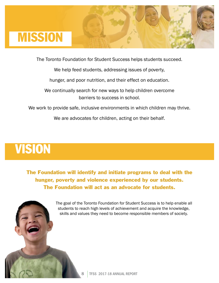

The Toronto Foundation for Student Success helps students succeed.

We help feed students, addressing issues of poverty,

hunger, and poor nutrition, and their effect on education.

We continually search for new ways to help children overcome barriers to success in school.

We work to provide safe, inclusive environments in which children may thrive.

We are advocates for children, acting on their behalf.

# VISION

The Foundation will identify and initiate programs to deal with the hunger, poverty and violence experienced by our students. The Foundation will act as an advocate for students.

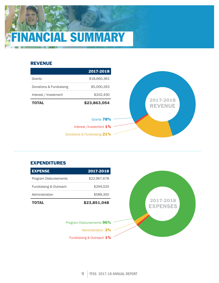# **ANCIAL SUMMARY**

### REVENUE



### EXPENDITURES

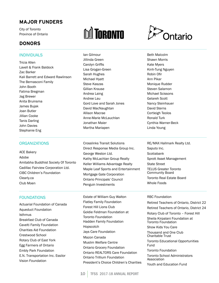### **MAJOR FUNDERS**

City of Toronto Province of Ontario

### **DONORS**

### INDIVIDUALS

Tricia Allen Lavell & Frank Baldock Zac Barker Kali Barrett and Edward Rawlinson The Bernasconi Family John Booth Fatima Bregman Jag Brewer Anita Bruinsma James Bujak Joan Butler Jillian Cooke Tanis Darling John Davies Stephanie Eng

#### **ORGANIZATIONS**

ACE Bakery Adobe Amitabha Buddhist Society Of Toronto Cadillac Fairview Corporation Ltd. CIBC Children's Foundation Clearly.ca Club Moen

### FOUNDATIONS

Actuarial Foundation of Canada Aqueduct Foundation Isthmus Breakfast Club of Canada Cavelti Family Foundation Charities Aid Foundation Crestwood School Rotary Club of East York Egg Farmers of Ontario Embly Park Foundation E.N. Transportation Inc. Essilor Vision Foundation

# **M** TORONTO

Ian Gilmour Jillinda Green Carolyn Griffis Lisa Grogan-Green Sarah Hughes Michael Hyatt Steve Kaszas Gillian Krause Andrea Laing Andree Lau Gord Love and Sarah Jones David MacNaughtan Allison Macrae Anne-Marie McLauchlan Jonathan Maier Martha Mariapen

Crosslinks Transit Solutions Direct Response Media Group Inc. George Weston Ltd. Kathy McLachlan Group Realty Keller Williams Advantage Realty Maple Leaf Sports and Entertainment Mortgage Gate Corporation Ontario Principals' Council Penguin Investments

Estate of William Guy Walton Flatley Family Foundation Forest Hill Lions Club Goldie Feldman Foundation at Toronto Foundation Hadden Family Foundation Hopscotch Jays Care Foundation Mazon Canada Muslim Welfare Centre Ontario Grocery Foundation Ontario REALTORS Care Foundation Ontario Trillium Foundation President's Choice Children's Charities



Beth Malcolm Shawn Morris Kate Myers Kinh-Tung Nguyen Robin Ofir Ann Pikar Monique Rudder Steven Salamon Michael Scissons Gelareh Scott Nancy Steinhauer David Sterns Cortleigh Teolos Ronald Turk Cynthia Warner-Beck Linda Young

RE/MAX Hallmark Realty Ltd. Saputo Inc. **Scotiabank** Sprott Asset Management State Street TELUS Greater Toronto Community Board Toronto Real Estate Board Whole Foods

#### RBC Foundation

Retired Teachers of Ontario, District 22 Retired Teachers of Ontario, District 24

Rotary Club of Toronto – Forest Hill Sheila Kirpalani Foundation at Toronto Foundation Show Kids You Care

Thousand and One Club Charitable Trust Toronto Educational Opportunities Fund

Toronto Foundation Toronto School Administrators Association Youth and Education Fund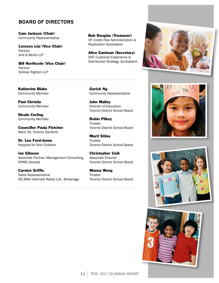### **BOARD OF DIRECTORS**

Cam Jackson (Chair) Community Representative

Lorenzo Lisi (Vice Chair) Partner Aird & Berlis LLP

Bill Northcote (Vice Chair) Partner Shibley Righton LLP

Bob Douglas (Treasurer) VP, Credit Risk Administration & Replication Scotiabank

Alice Eastman (Secretary) SVP, Customer Experience & Distribution Strategy, Scotiabank

Katherine Blake Community Member

Paul Christie Community Member

Nicole Curling Community Member

Councillor Paula Fletcher Ward 30, Toronto Danforth

Dr. Lee Ford-Jones Hospital for Sick Children

Ian Gilmour Associate Partner, Management Consulting KPMG Canada

Carolyn Griffis Sales Representative RE/MAX Hallmark Realty Ltd., Brokerage Gorick Ng Community Representative

John Malloy Director of Education Toronto District School Board

Robin Pilkey Trustee Toronto District School Board

Marit Stiles **Trustee** Toronto District School Board

Christopher Usih Associate Director Toronto District School Board

Manna Wong Trustee Toronto District School Board